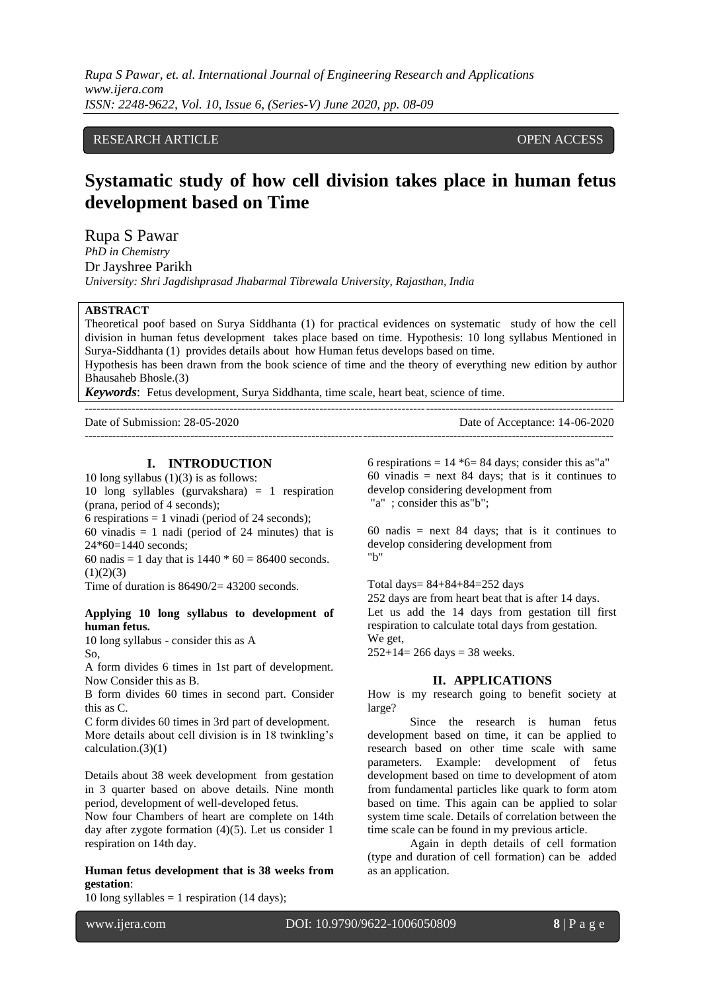*Rupa S Pawar, et. al. International Journal of Engineering Research and Applications www.ijera.com ISSN: 2248-9622, Vol. 10, Issue 6, (Series-V) June 2020, pp. 08-09*

## RESEARCH ARTICLE **CONSERVERS** OPEN ACCESS

# **Systamatic study of how cell division takes place in human fetus development based on Time**

Rupa S Pawar *PhD in Chemistry* Dr Jayshree Parikh *University: Shri Jagdishprasad Jhabarmal Tibrewala University, Rajasthan, India*

#### **ABSTRACT**

Theoretical poof based on Surya Siddhanta (1) for practical evidences on systematic study of how the cell division in human fetus development takes place based on time. Hypothesis: 10 long syllabus Mentioned in Surya-Siddhanta (1) provides details about how Human fetus develops based on time.

Hypothesis has been drawn from the book science of time and the theory of everything new edition by author Bhausaheb Bhosle.(3)

---------------------------------------------------------------------------------------------------------------------------------------

---------------------------------------------------------------------------------------------------------------------------------------

*Keywords*: Fetus development, Surya Siddhanta, time scale, heart beat, science of time.

Date of Submission: 28-05-2020 Date of Acceptance: 14-06-2020

#### **I. INTRODUCTION**

10 long syllabus (1)(3) is as follows: 10 long syllables (gurvakshara) = 1 respiration (prana, period of 4 seconds); 6 respirations  $= 1$  vinadi (period of 24 seconds); 60 vinadis  $= 1$  nadi (period of 24 minutes) that is 24\*60=1440 seconds; 60 nadis = 1 day that is  $1440 * 60 = 86400$  seconds.  $(1)(2)(3)$ Time of duration is 86490/2= 43200 seconds.

#### **Applying 10 long syllabus to development of human fetus.**

10 long syllabus - consider this as A So,

A form divides 6 times in 1st part of development. Now Consider this as B.

B form divides 60 times in second part. Consider this as C.

C form divides 60 times in 3rd part of development. More details about cell division is in 18 twinkling's calculation. $(3)(1)$ 

Details about 38 week development from gestation in 3 quarter based on above details. Nine month period, development of well-developed fetus.

Now four Chambers of heart are complete on 14th day after zygote formation (4)(5). Let us consider 1 respiration on 14th day.

### **Human fetus development that is 38 weeks from gestation**:

10 long syllables  $= 1$  respiration (14 days);

6 respirations  $= 14 * 6 = 84$  days; consider this as"a" 60 vinadis  $=$  next 84 days; that is it continues to develop considering development from "a" ; consider this as"b";

60 nadis  $=$  next 84 days; that is it continues to develop considering development from "b"

Total days= 84+84+84=252 days 252 days are from heart beat that is after 14 days.

Let us add the 14 days from gestation till first respiration to calculate total days from gestation. We get,

 $252+14= 266$  days = 38 weeks.

#### **II. APPLICATIONS**

How is my research going to benefit society at large?

Since the research is human fetus development based on time, it can be applied to research based on other time scale with same parameters. Example: development of fetus development based on time to development of atom from fundamental particles like quark to form atom based on time. This again can be applied to solar system time scale. Details of correlation between the time scale can be found in my previous article.

Again in depth details of cell formation (type and duration of cell formation) can be added as an application.